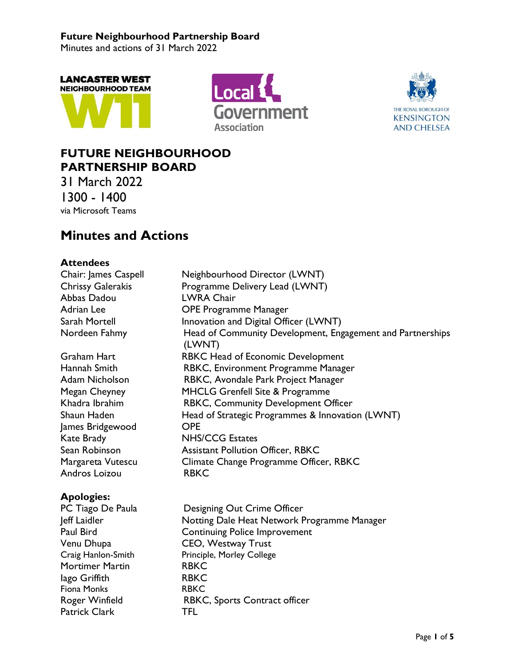Minutes and actions of 31 March 2022







## **FUTURE NEIGHBOURHOOD PARTNERSHIP BOARD**

31 March 2022 1300 - 1400 via Microsoft Teams

# **Minutes and Actions**

## **Attendees**

| <b>Accepte</b>       |                                                                      |
|----------------------|----------------------------------------------------------------------|
| Chair: James Caspell | Neighbourhood Director (LWNT)                                        |
| Chrissy Galerakis    | Programme Delivery Lead (LWNT)                                       |
| Abbas Dadou          | <b>LWRA Chair</b>                                                    |
| Adrian Lee           | <b>OPE Programme Manager</b>                                         |
| Sarah Mortell        | Innovation and Digital Officer (LWNT)                                |
| Nordeen Fahmy        | Head of Community Development, Engagement and Partnerships<br>(LWNT) |
| Graham Hart          | RBKC Head of Economic Development                                    |
| Hannah Smith         | RBKC, Environment Programme Manager                                  |
| Adam Nicholson       | RBKC, Avondale Park Project Manager                                  |
| Megan Cheyney        | <b>MHCLG Grenfell Site &amp; Programme</b>                           |
| Khadra Ibrahim       | RBKC, Community Development Officer                                  |
| Shaun Haden          | Head of Strategic Programmes & Innovation (LWNT)                     |
| James Bridgewood     | <b>OPE</b>                                                           |
| Kate Brady           | <b>NHS/CCG Estates</b>                                               |
| Sean Robinson        | <b>Assistant Pollution Officer, RBKC</b>                             |
| Margareta Vutescu    | Climate Change Programme Officer, RBKC                               |
| Andros Loizou        | <b>RBKC</b>                                                          |
| <b>Apologies:</b>    |                                                                      |
| PC Tiago De Paula    | Designing Out Crime Officer                                          |
| Jeff Laidler         | Notting Dale Heat Network Programme Manager                          |
| .                    |                                                                      |

Paul Bird Continuing Police Improvement Venu Dhupa<br>
CEO, Westway Trust<br>
Craig Hanlon-Smith<br>
Principle, Morley College Principle, Morley College Mortimer Martin **RBKC** lago Griffith RBKC Fiona Monks RBKC Roger Winfield **RBKC**, Sports Contract officer Patrick Clark TFL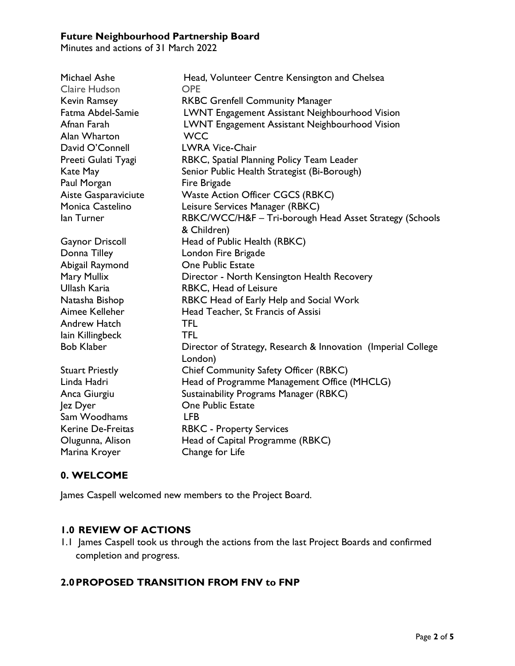Minutes and actions of 31 March 2022

| Michael Ashe<br>Claire Hudson | Head, Volunteer Centre Kensington and Chelsea<br><b>OPE</b>   |
|-------------------------------|---------------------------------------------------------------|
| <b>Kevin Ramsey</b>           | <b>RKBC Grenfell Community Manager</b>                        |
| Fatma Abdel-Samie             | LWNT Engagement Assistant Neighbourhood Vision                |
| Afnan Farah                   | <b>LWNT Engagement Assistant Neighbourhood Vision</b>         |
| Alan Wharton                  | <b>WCC</b>                                                    |
| David O'Connell               | <b>LWRA Vice-Chair</b>                                        |
| Preeti Gulati Tyagi           | RBKC, Spatial Planning Policy Team Leader                     |
| Kate May                      | Senior Public Health Strategist (Bi-Borough)                  |
| Paul Morgan                   | Fire Brigade                                                  |
| Aiste Gasparaviciute          | <b>Waste Action Officer CGCS (RBKC)</b>                       |
| Monica Castelino              | Leisure Services Manager (RBKC)                               |
| lan Turner                    | RBKC/WCC/H&F - Tri-borough Head Asset Strategy (Schools       |
|                               | & Children)                                                   |
| <b>Gaynor Driscoll</b>        | Head of Public Health (RBKC)                                  |
| Donna Tilley                  | London Fire Brigade                                           |
| Abigail Raymond               | <b>One Public Estate</b>                                      |
| Mary Mullix                   | Director - North Kensington Health Recovery                   |
| Ullash Karia                  | RBKC, Head of Leisure                                         |
| Natasha Bishop                | RBKC Head of Early Help and Social Work                       |
| Aimee Kelleher                | Head Teacher, St Francis of Assisi                            |
| <b>Andrew Hatch</b>           | <b>TFL</b>                                                    |
| lain Killingbeck              | <b>TFL</b>                                                    |
| <b>Bob Klaber</b>             | Director of Strategy, Research & Innovation (Imperial College |
|                               | London)                                                       |
| <b>Stuart Priestly</b>        | Chief Community Safety Officer (RBKC)                         |
| Linda Hadri                   | Head of Programme Management Office (MHCLG)                   |
| Anca Giurgiu                  | Sustainability Programs Manager (RBKC)                        |
| Jez Dyer                      | <b>One Public Estate</b>                                      |
| Sam Woodhams                  | <b>LFB</b>                                                    |
| Kerine De-Freitas             | <b>RBKC - Property Services</b>                               |
| Olugunna, Alison              | Head of Capital Programme (RBKC)                              |
| Marina Kroyer                 | Change for Life                                               |

## **0. WELCOME**

James Caspell welcomed new members to the Project Board.

## **1.0 REVIEW OF ACTIONS**

1.1 James Caspell took us through the actions from the last Project Boards and confirmed completion and progress.

## **2.0PROPOSED TRANSITION FROM FNV to FNP**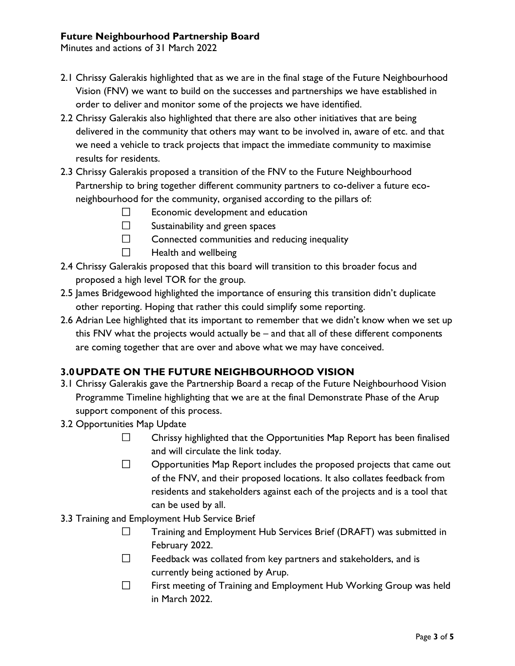Minutes and actions of 31 March 2022

- 2.1 Chrissy Galerakis highlighted that as we are in the final stage of the Future Neighbourhood Vision (FNV) we want to build on the successes and partnerships we have established in order to deliver and monitor some of the projects we have identified.
- 2.2 Chrissy Galerakis also highlighted that there are also other initiatives that are being delivered in the community that others may want to be involved in, aware of etc. and that we need a vehicle to track projects that impact the immediate community to maximise results for residents.
- 2.3 Chrissy Galerakis proposed a transition of the FNV to the Future Neighbourhood Partnership to bring together different community partners to co-deliver a future econeighbourhood for the community, organised according to the pillars of:
	- $\Box$ Economic development and education
	- $\Box$ Sustainability and green spaces
	- $\Box$ Connected communities and reducing inequality
	- $\Box$ Health and wellbeing
- 2.4 Chrissy Galerakis proposed that this board will transition to this broader focus and proposed a high level TOR for the group.
- 2.5 James Bridgewood highlighted the importance of ensuring this transition didn't duplicate other reporting. Hoping that rather this could simplify some reporting.
- 2.6 Adrian Lee highlighted that its important to remember that we didn't know when we set up this FNV what the projects would actually be – and that all of these different components are coming together that are over and above what we may have conceived.

## **3.0UPDATE ON THE FUTURE NEIGHBOURHOOD VISION**

- 3.1 Chrissy Galerakis gave the Partnership Board a recap of the Future Neighbourhood Vision Programme Timeline highlighting that we are at the final Demonstrate Phase of the Arup support component of this process.
- 3.2 Opportunities Map Update
	- $\Box$ Chrissy highlighted that the Opportunities Map Report has been finalised and will circulate the link today.
	- $\Box$ Opportunities Map Report includes the proposed projects that came out of the FNV, and their proposed locations. It also collates feedback from residents and stakeholders against each of the projects and is a tool that can be used by all.
- 3.3 Training and Employment Hub Service Brief
	- $\Box$ Training and Employment Hub Services Brief (DRAFT) was submitted in February 2022.
	- $\Box$ Feedback was collated from key partners and stakeholders, and is currently being actioned by Arup.
	- $\Box$ First meeting of Training and Employment Hub Working Group was held in March 2022.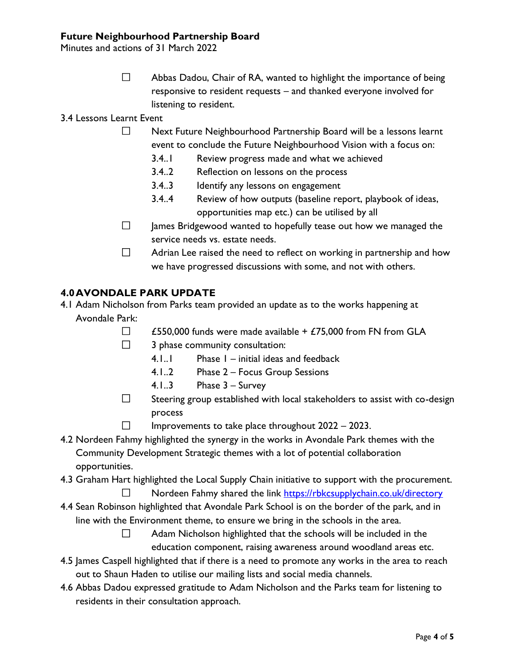Minutes and actions of 31 March 2022

 $\Box$ Abbas Dadou, Chair of RA, wanted to highlight the importance of being responsive to resident requests – and thanked everyone involved for listening to resident.

3.4 Lessons Learnt Event

- $\Box$ Next Future Neighbourhood Partnership Board will be a lessons learnt event to conclude the Future Neighbourhood Vision with a focus on:
	- 3.4..1 Review progress made and what we achieved
	- 3.4..2 Reflection on lessons on the process
	- 3.4..3 Identify any lessons on engagement
	- 3.4..4 Review of how outputs (baseline report, playbook of ideas, opportunities map etc.) can be utilised by all
- $\Box$ James Bridgewood wanted to hopefully tease out how we managed the service needs vs. estate needs.
- $\Box$ Adrian Lee raised the need to reflect on working in partnership and how we have progressed discussions with some, and not with others.

## **4.0AVONDALE PARK UPDATE**

- 4.1 Adam Nicholson from Parks team provided an update as to the works happening at Avondale Park:
	- $\Box$ £550,000 funds were made available  $+$  £75,000 from FN from GLA
		- $\Box$ 3 phase community consultation:
			- 4.1..1 Phase 1 initial ideas and feedback
			- 4.1..2 Phase 2 Focus Group Sessions
			- 4.1..3 Phase 3 Survey
	- $\Box$ Steering group established with local stakeholders to assist with co-design process
	- $\Box$ Improvements to take place throughout 2022 – 2023.
- 4.2 Nordeen Fahmy highlighted the synergy in the works in Avondale Park themes with the Community Development Strategic themes with a lot of potential collaboration opportunities.
- 4.3 Graham Hart highlighted the Local Supply Chain initiative to support with the procurement.
	- П Nordeen Fahmy shared the link<https://rbkcsupplychain.co.uk/directory>
- 4.4 Sean Robinson highlighted that Avondale Park School is on the border of the park, and in line with the Environment theme, to ensure we bring in the schools in the area.
	- $\Box$ Adam Nicholson highlighted that the schools will be included in the education component, raising awareness around woodland areas etc.
- 4.5 James Caspell highlighted that if there is a need to promote any works in the area to reach out to Shaun Haden to utilise our mailing lists and social media channels.
- 4.6 Abbas Dadou expressed gratitude to Adam Nicholson and the Parks team for listening to residents in their consultation approach.